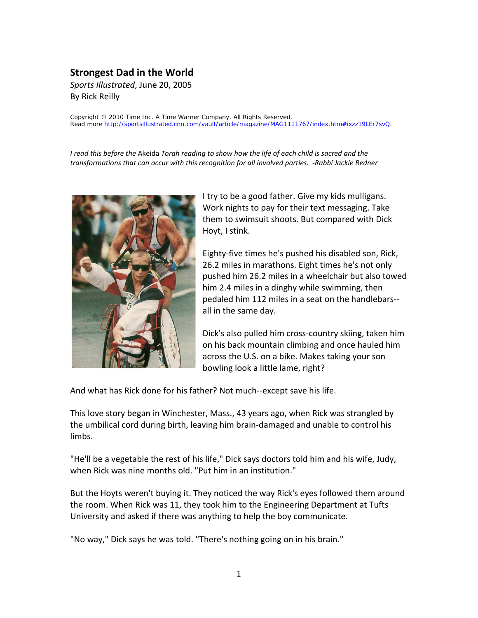## **Strongest Dad in the World**

*Sports Illustrated*, June 20, 2005 By Rick Reilly

Copyright © 2010 Time Inc. A Time Warner Company. All Rights Reserved. Read more http://sportsillustrated.cnn.com/vault/article/magazine/MAG1111767/index.htm#ixzz19LEr7

*I read this before the* Akeida *Torah reading to show how the life of each child is sacred and the transformations that can occur with this recognition for all involved parties. -Rabbi Jackie Redner*



I try to be a good father. Give my kids mulligans. Work nights to pay for their text messaging. Take them to swimsuit shoots. But compared with Dick Hoyt, I stink.

Eighty-five times he's pushed his disabled son, Rick, 26.2 miles in marathons. Eight times he's not only pushed him 26.2 miles in a wheelchair but also towed him 2.4 miles in a dinghy while swimming, then pedaled him 112 miles in a seat on the handlebars- all in the same day.

Dick's also pulled him cross-country skiing, taken him on his back mountain climbing and once hauled him across the U.S. on a bike. Makes taking your son bowling look a little lame, right?

And what has Rick done for his father? Not much--except save his life.

This love story began in Winchester, Mass., 43 years ago, when Rick was strangled by the umbilical cord during birth, leaving him brain-damaged and unable to control his limbs.

"He'll be a vegetable the rest of his life," Dick says doctors told him and his wife, Judy, when Rick was nine months old. "Put him in an institution."

But the Hoyts weren't buying it. They noticed the way Rick's eyes followed them around the room. When Rick was 11, they took him to the Engineering Department at Tufts University and asked if there was anything to help the boy communicate.

"No way," Dick says he was told. "There's nothing going on in his brain."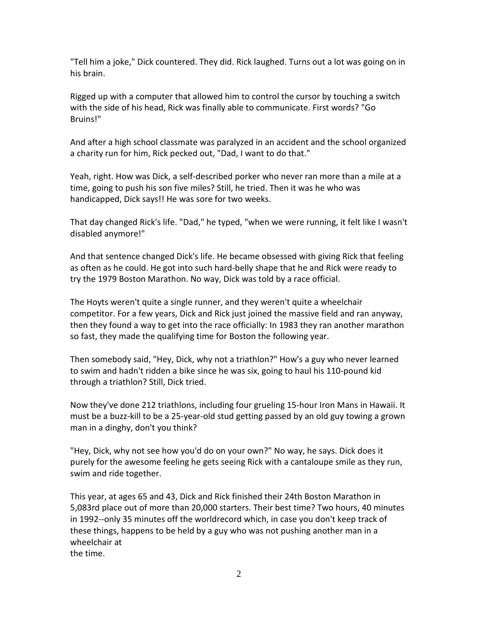"Tell him a joke," Dick countered. They did. Rick laughed. Turns out a lot was going on in his brain.

Rigged up with a computer that allowed him to control the cursor by touching a switch with the side of his head, Rick was finally able to communicate. First words? "Go Bruins!"

And after a high school classmate was paralyzed in an accident and the school organized a charity run for him, Rick pecked out, "Dad, I want to do that."

Yeah, right. How was Dick, a self-described porker who never ran more than a mile at a time, going to push his son five miles? Still, he tried. Then it was he who was handicapped, Dick says!! He was sore for two weeks.

That day changed Rick's life. "Dad," he typed, "when we were running, it felt like I wasn't disabled anymore!"

And that sentence changed Dick's life. He became obsessed with giving Rick that feeling as often as he could. He got into such hard-belly shape that he and Rick were ready to try the 1979 Boston Marathon. No way, Dick was told by a race official.

The Hoyts weren't quite a single runner, and they weren't quite a wheelchair competitor. For a few years, Dick and Rick just joined the massive field and ran anyway, then they found a way to get into the race officially: In 1983 they ran another marathon so fast, they made the qualifying time for Boston the following year.

Then somebody said, "Hey, Dick, why not a triathlon?" How's a guy who never learned to swim and hadn't ridden a bike since he was six, going to haul his 110-pound kid through a triathlon? Still, Dick tried.

Now they've done 212 triathlons, including four grueling 15-hour Iron Mans in Hawaii. It must be a buzz-kill to be a 25-year-old stud getting passed by an old guy towing a grown man in a dinghy, don't you think?

"Hey, Dick, why not see how you'd do on your own?" No way, he says. Dick does it purely for the awesome feeling he gets seeing Rick with a cantaloupe smile as they run, swim and ride together.

This year, at ages 65 and 43, Dick and Rick finished their 24th Boston Marathon in 5,083rd place out of more than 20,000 starters. Their best time? Two hours, 40 minutes in 1992--only 35 minutes off the worldrecord which, in case you don't keep track of these things, happens to be held by a guy who was not pushing another man in a wheelchair at the time.